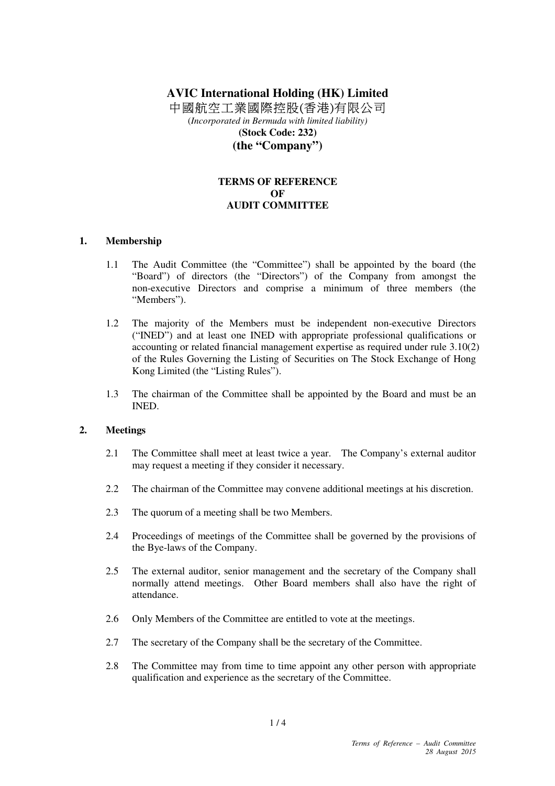# **AVIC International Holding (HK) Limited**  中國航空工業國際控股(香港)有限公司

(*Incorporated in Bermuda with limited liability)*  **(Stock Code: 232) (the "Company")** 

## **TERMS OF REFERENCE OF AUDIT COMMITTEE**

#### **1. Membership**

- 1.1 The Audit Committee (the "Committee") shall be appointed by the board (the "Board") of directors (the "Directors") of the Company from amongst the non-executive Directors and comprise a minimum of three members (the "Members").
- 1.2 The majority of the Members must be independent non-executive Directors ("INED") and at least one INED with appropriate professional qualifications or accounting or related financial management expertise as required under rule 3.10(2) of the Rules Governing the Listing of Securities on The Stock Exchange of Hong Kong Limited (the "Listing Rules").
- 1.3 The chairman of the Committee shall be appointed by the Board and must be an INED.

#### **2. Meetings**

- 2.1 The Committee shall meet at least twice a year. The Company's external auditor may request a meeting if they consider it necessary.
- 2.2 The chairman of the Committee may convene additional meetings at his discretion.
- 2.3 The quorum of a meeting shall be two Members.
- 2.4 Proceedings of meetings of the Committee shall be governed by the provisions of the Bye-laws of the Company.
- 2.5 The external auditor, senior management and the secretary of the Company shall normally attend meetings. Other Board members shall also have the right of attendance.
- 2.6 Only Members of the Committee are entitled to vote at the meetings.
- 2.7 The secretary of the Company shall be the secretary of the Committee.
- 2.8 The Committee may from time to time appoint any other person with appropriate qualification and experience as the secretary of the Committee.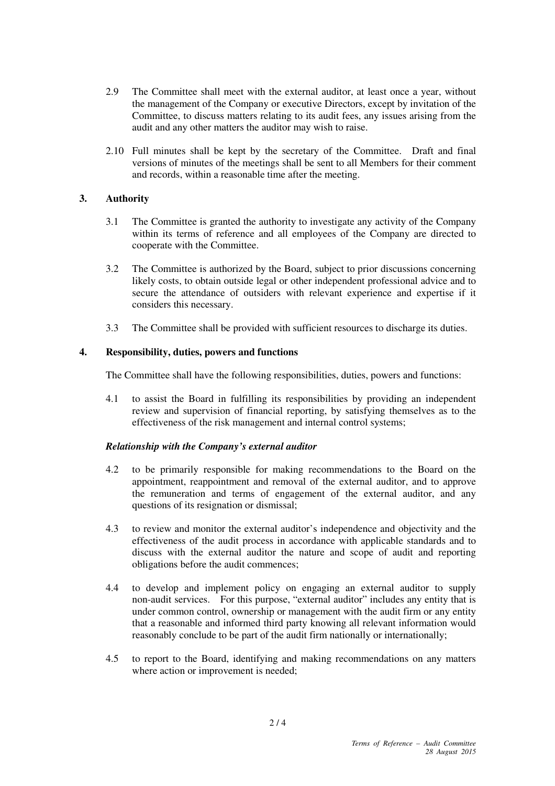- 2.9 The Committee shall meet with the external auditor, at least once a year, without the management of the Company or executive Directors, except by invitation of the Committee, to discuss matters relating to its audit fees, any issues arising from the audit and any other matters the auditor may wish to raise.
- 2.10 Full minutes shall be kept by the secretary of the Committee. Draft and final versions of minutes of the meetings shall be sent to all Members for their comment and records, within a reasonable time after the meeting.

## **3. Authority**

- 3.1 The Committee is granted the authority to investigate any activity of the Company within its terms of reference and all employees of the Company are directed to cooperate with the Committee.
- 3.2 The Committee is authorized by the Board, subject to prior discussions concerning likely costs, to obtain outside legal or other independent professional advice and to secure the attendance of outsiders with relevant experience and expertise if it considers this necessary.
- 3.3 The Committee shall be provided with sufficient resources to discharge its duties.

## **4. Responsibility, duties, powers and functions**

The Committee shall have the following responsibilities, duties, powers and functions:

4.1 to assist the Board in fulfilling its responsibilities by providing an independent review and supervision of financial reporting, by satisfying themselves as to the effectiveness of the risk management and internal control systems;

## *Relationship with the Company's external auditor*

- 4.2 to be primarily responsible for making recommendations to the Board on the appointment, reappointment and removal of the external auditor, and to approve the remuneration and terms of engagement of the external auditor, and any questions of its resignation or dismissal;
- 4.3 to review and monitor the external auditor's independence and objectivity and the effectiveness of the audit process in accordance with applicable standards and to discuss with the external auditor the nature and scope of audit and reporting obligations before the audit commences;
- 4.4 to develop and implement policy on engaging an external auditor to supply non-audit services. For this purpose, "external auditor" includes any entity that is under common control, ownership or management with the audit firm or any entity that a reasonable and informed third party knowing all relevant information would reasonably conclude to be part of the audit firm nationally or internationally;
- 4.5 to report to the Board, identifying and making recommendations on any matters where action or improvement is needed;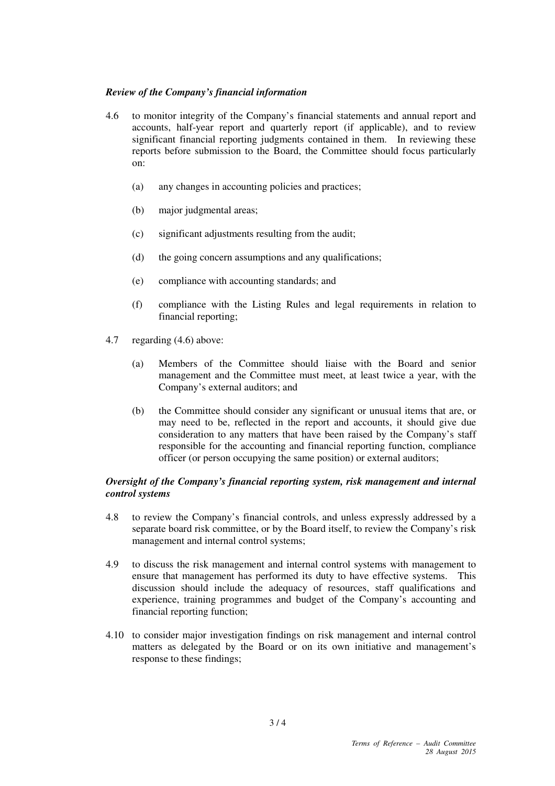## *Review of the Company's financial information*

- 4.6 to monitor integrity of the Company's financial statements and annual report and accounts, half-year report and quarterly report (if applicable), and to review significant financial reporting judgments contained in them. In reviewing these reports before submission to the Board, the Committee should focus particularly on:
	- (a) any changes in accounting policies and practices;
	- (b) major judgmental areas;
	- (c) significant adjustments resulting from the audit;
	- (d) the going concern assumptions and any qualifications;
	- (e) compliance with accounting standards; and
	- (f) compliance with the Listing Rules and legal requirements in relation to financial reporting;
- 4.7 regarding (4.6) above:
	- (a) Members of the Committee should liaise with the Board and senior management and the Committee must meet, at least twice a year, with the Company's external auditors; and
	- (b) the Committee should consider any significant or unusual items that are, or may need to be, reflected in the report and accounts, it should give due consideration to any matters that have been raised by the Company's staff responsible for the accounting and financial reporting function, compliance officer (or person occupying the same position) or external auditors;

## *Oversight of the Company's financial reporting system, risk management and internal control systems*

- 4.8 to review the Company's financial controls, and unless expressly addressed by a separate board risk committee, or by the Board itself, to review the Company's risk management and internal control systems;
- 4.9 to discuss the risk management and internal control systems with management to ensure that management has performed its duty to have effective systems. This discussion should include the adequacy of resources, staff qualifications and experience, training programmes and budget of the Company's accounting and financial reporting function;
- 4.10 to consider major investigation findings on risk management and internal control matters as delegated by the Board or on its own initiative and management's response to these findings;